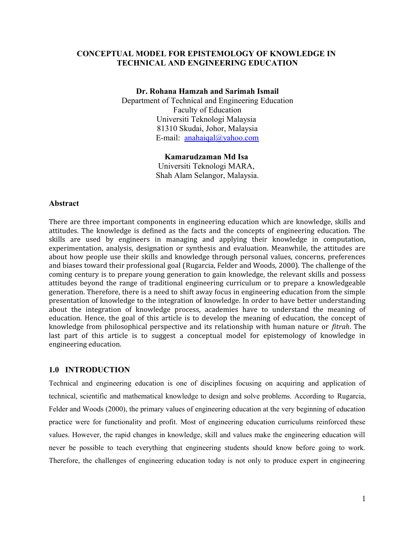# **CONCEPTUAL MODEL FOR EPISTEMOLOGY OF KNOWLEDGE IN TECHNICAL AND ENGINEERING EDUCATION**

### **Dr. Rohana Hamzah and Sarimah Ismail**

Department of Technical and Engineering Education Faculty of Education Universiti Teknologi Malaysia 81310 Skudai, Johor, Malaysia E-mail: [anahaiqal@yahoo.com](mailto:anahaiqal@yahoo.com)

## **Kamarudzaman Md Isa**

Universiti Teknologi MARA, Shah Alam Selangor, Malaysia.

## **Abstract**

There are three important components in engineering education which are knowledge, skills and attitudes. The knowledge is defined as the facts and the concepts of engineering education. The skills are used by engineers in managing and applying their knowledge in computation, experimentation, analysis, designation or synthesis and evaluation. Meanwhile, the attitudes are about how people use their skills and knowledge through personal values, concerns, preferences and biases toward their professional goal (Rugarcia, Felder and Woods, 2000). The challenge of the coming century is to prepare young generation to gain knowledge, the relevant skills and possess attitudes beyond the range of traditional engineering curriculum or to prepare a knowledgeable generation. Therefore, there is a need to shift away focus in engineering education from the simple presentation of knowledge to the integration of knowledge. In order to have better understanding about the integration of knowledge process, academies have to understand the meaning of education. Hence, the goal of this article is to develop the meaning of education, the concept of knowledge from philosophical perspective and its relationship with human nature or *fitrah*. The last part of this article is to suggest a conceptual model for epistemology of knowledge in engineering education.

# **1.0 INTRODUCTION**

Technical and engineering education is one of disciplines focusing on acquiring and application of technical, scientific and mathematical knowledge to design and solve problems. According to Rugarcia, Felder and Woods (2000), the primary values of engineering education at the very beginning of education practice were for functionality and profit. Most of engineering education curriculums reinforced these values. However, the rapid changes in knowledge, skill and values make the engineering education will never be possible to teach everything that engineering students should know before going to work. Therefore, the challenges of engineering education today is not only to produce expert in engineering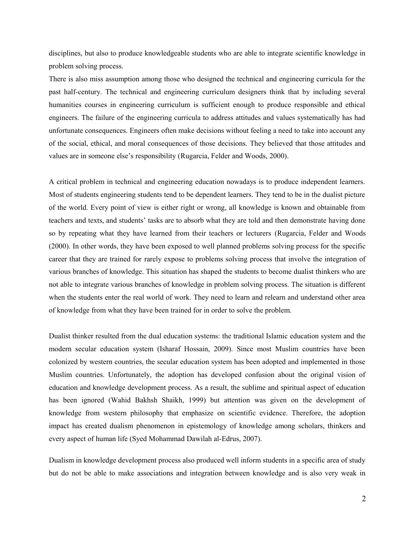disciplines, but also to produce knowledgeable students who are able to integrate scientific knowledge in problem solving process.

There is also miss assumption among those who designed the technical and engineering curricula for the past half-century. The technical and engineering curriculum designers think that by including several humanities courses in engineering curriculum is sufficient enough to produce responsible and ethical engineers. The failure of the engineering curricula to address attitudes and values systematically has had unfortunate consequences. Engineers often make decisions without feeling a need to take into account any of the social, ethical, and moral consequences of those decisions. They believed that those attitudes and values are in someone else's responsibility (Rugarcia, Felder and Woods, 2000).

A critical problem in technical and engineering education nowadays is to produce independent learners. Most of students engineering students tend to be dependent learners. They tend to be in the dualist picture of the world. Every point of view is either right or wrong, all knowledge is known and obtainable from teachers and texts, and students' tasks are to absorb what they are told and then demonstrate having done so by repeating what they have learned from their teachers or lecturers (Rugarcia, Felder and Woods (2000). In other words, they have been exposed to well planned problems solving process for the specific career that they are trained for rarely expose to problems solving process that involve the integration of various branches of knowledge. This situation has shaped the students to become dualist thinkers who are not able to integrate various branches of knowledge in problem solving process. The situation is different when the students enter the real world of work. They need to learn and relearn and understand other area of knowledge from what they have been trained for in order to solve the problem.

Dualist thinker resulted from the dual education systems: the traditional Islamic education system and the modern secular education system (Isharaf Hossain, 2009). Since most Muslim countries have been colonized by western countries, the secular education system has been adopted and implemented in those Muslim countries. Unfortunately, the adoption has developed confusion about the original vision of education and knowledge development process. As a result, the sublime and spiritual aspect of education has been ignored (Wahid Bakhsh Shaikh, 1999) but attention was given on the development of knowledge from western philosophy that emphasize on scientific evidence. Therefore, the adoption impact has created dualism phenomenon in epistemology of knowledge among scholars, thinkers and every aspect of human life (Syed Mohammad Dawilah al-Edrus, 2007).

Dualism in knowledge development process also produced well inform students in a specific area of study but do not be able to make associations and integration between knowledge and is also very weak in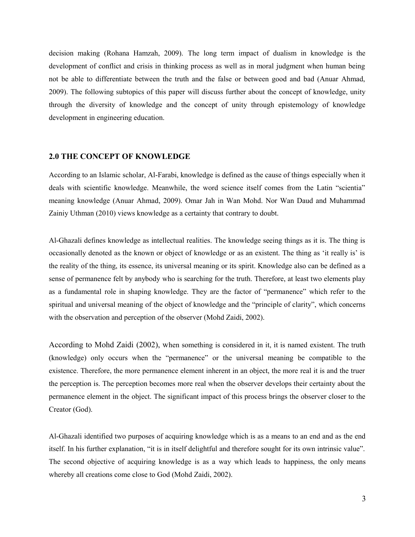decision making (Rohana Hamzah, 2009). The long term impact of dualism in knowledge is the development of conflict and crisis in thinking process as well as in moral judgment when human being not be able to differentiate between the truth and the false or between good and bad (Anuar Ahmad, 2009). The following subtopics of this paper will discuss further about the concept of knowledge, unity through the diversity of knowledge and the concept of unity through epistemology of knowledge development in engineering education.

## **2.0 THE CONCEPT OF KNOWLEDGE**

According to an Islamic scholar, Al-Farabi, knowledge is defined as the cause of things especially when it deals with scientific knowledge. Meanwhile, the word science itself comes from the Latin "scientia" meaning knowledge (Anuar Ahmad, 2009). Omar Jah in Wan Mohd. Nor Wan Daud and Muhammad Zainiy Uthman (2010) views knowledge as a certainty that contrary to doubt.

Al-Ghazali defines knowledge as intellectual realities. The knowledge seeing things as it is. The thing is occasionally denoted as the known or object of knowledge or as an existent. The thing as 'it really is' is the reality of the thing, its essence, its universal meaning or its spirit. Knowledge also can be defined as a sense of permanence felt by anybody who is searching for the truth. Therefore, at least two elements play as a fundamental role in shaping knowledge. They are the factor of "permanence" which refer to the spiritual and universal meaning of the object of knowledge and the "principle of clarity", which concerns with the observation and perception of the observer (Mohd Zaidi, 2002).

According to Mohd Zaidi (2002), when something is considered in it, it is named existent. The truth (knowledge) only occurs when the "permanence" or the universal meaning be compatible to the existence. Therefore, the more permanence element inherent in an object, the more real it is and the truer the perception is. The perception becomes more real when the observer develops their certainty about the permanence element in the object. The significant impact of this process brings the observer closer to the Creator (God).

Al-Ghazali identified two purposes of acquiring knowledge which is as a means to an end and as the end itself. In his further explanation, "it is in itself delightful and therefore sought for its own intrinsic value". The second objective of acquiring knowledge is as a way which leads to happiness, the only means whereby all creations come close to God (Mohd Zaidi, 2002).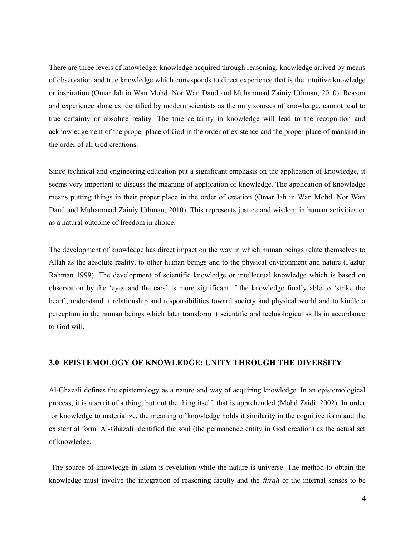There are three levels of knowledge; knowledge acquired through reasoning, knowledge arrived by means of observation and true knowledge which corresponds to direct experience that is the intuitive knowledge or inspiration (Omar Jah in Wan Mohd. Nor Wan Daud and Muhammad Zainiy Uthman, 2010). Reason and experience alone as identified by modern scientists as the only sources of knowledge, cannot lead to true certainty or absolute reality. The true certainty in knowledge will lead to the recognition and acknowledgement of the proper place of God in the order of existence and the proper place of mankind in the order of all God creations.

Since technical and engineering education put a significant emphasis on the application of knowledge, it seems very important to discuss the meaning of application of knowledge. The application of knowledge means putting things in their proper place in the order of creation (Omar Jah in Wan Mohd. Nor Wan Daud and Muhammad Zainiy Uthman, 2010). This represents justice and wisdom in human activities or as a natural outcome of freedom in choice.

The development of knowledge has direct impact on the way in which human beings relate themselves to Allah as the absolute reality, to other human beings and to the physical environment and nature (Fazlur Rahman 1999). The development of scientific knowledge or intellectual knowledge which is based on observation by the 'eyes and the ears' is more significant if the knowledge finally able to 'strike the heart', understand it relationship and responsibilities toward society and physical world and to kindle a perception in the human beings which later transform it scientific and technological skills in accordance to God will.

# **3.0 EPISTEMOLOGY OF KNOWLEDGE: UNITY THROUGH THE DIVERSITY**

Al-Ghazali defines the epistemology as a nature and way of acquiring knowledge. In an epistemological process, it is a spirit of a thing, but not the thing itself, that is apprehended (Mohd Zaidi, 2002). In order for knowledge to materialize, the meaning of knowledge holds it similarity in the cognitive form and the existential form. Al-Ghazali identified the soul (the permanence entity in God creation) as the actual set of knowledge.

 The source of knowledge in Islam is revelation while the nature is universe. The method to obtain the knowledge must involve the integration of reasoning faculty and the *fitrah* or the internal senses to be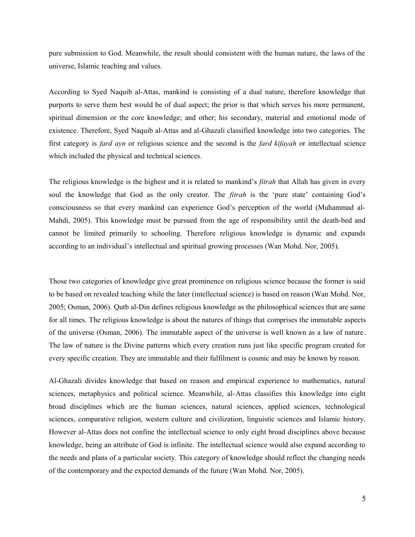pure submission to God. Meanwhile, the result should consistent with the human nature, the laws of the universe, Islamic teaching and values.

According to Syed Naquib al-Attas, mankind is consisting of a dual nature, therefore knowledge that purports to serve them best would be of dual aspect; the prior is that which serves his more permanent, spiritual dimension or the core knowledge; and other; his secondary, material and emotional mode of existence. Therefore, Syed Naquib al-Attas and al-Ghazali classified knowledge into two categories. The first category is *fard ayn* or religious science and the second is the *fard kifayah* or intellectual science which included the physical and technical sciences.

The religious knowledge is the highest and it is related to mankind's *fitrah* that Allah has given in every soul the knowledge that God as the only creator. The *fitrah* is the 'pure state' containing God's consciousness so that every mankind can experience God's perception of the world (Muhammad al-Mahdi, 2005). This knowledge must be pursued from the age of responsibility until the death-bed and cannot be limited primarily to schooling. Therefore religious knowledge is dynamic and expands according to an individual's intellectual and spiritual growing processes (Wan Mohd. Nor, 2005).

Those two categories of knowledge give great prominence on religious science because the former is said to be based on revealed teaching while the later (intellectual science) is based on reason (Wan Mohd. Nor, 2005; Osman, 2006). Qutb al-Din defines religious knowledge as the philosophical sciences that are same for all times. The religious knowledge is about the natures of things that comprises the immutable aspects of the universe (Osman, 2006). The immutable aspect of the universe is well known as a law of nature. The law of nature is the Divine patterns which every creation runs just like specific program created for every specific creation. They are immutable and their fulfilment is cosmic and may be known by reason.

Al-Ghazali divides knowledge that based on reason and empirical experience to mathematics, natural sciences, metaphysics and political science. Meanwhile, al-Attas classifies this knowledge into eight broad disciplines which are the human sciences, natural sciences, applied sciences, technological sciences, comparative religion, western culture and civilization, linguistic sciences and Islamic history. However al-Attas does not confine the intellectual science to only eight broad disciplines above because knowledge, being an attribute of God is infinite. The intellectual science would also expand according to the needs and plans of a particular society. This category of knowledge should reflect the changing needs of the contemporary and the expected demands of the future (Wan Mohd. Nor, 2005).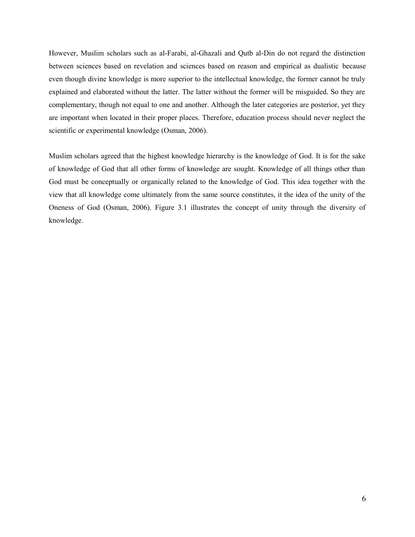However, Muslim scholars such as al-Farabi, al-Ghazali and Qutb al-Din do not regard the distinction between sciences based on revelation and sciences based on reason and empirical as dualistic because even though divine knowledge is more superior to the intellectual knowledge, the former cannot be truly explained and elaborated without the latter. The latter without the former will be misguided. So they are complementary, though not equal to one and another. Although the later categories are posterior, yet they are important when located in their proper places. Therefore, education process should never neglect the scientific or experimental knowledge (Osman, 2006).

Muslim scholars agreed that the highest knowledge hierarchy is the knowledge of God. It is for the sake of knowledge of God that all other forms of knowledge are sought. Knowledge of all things other than God must be conceptually or organically related to the knowledge of God. This idea together with the view that all knowledge come ultimately from the same source constitutes, it the idea of the unity of the Oneness of God (Osman, 2006). Figure 3.1 illustrates the concept of unity through the diversity of knowledge.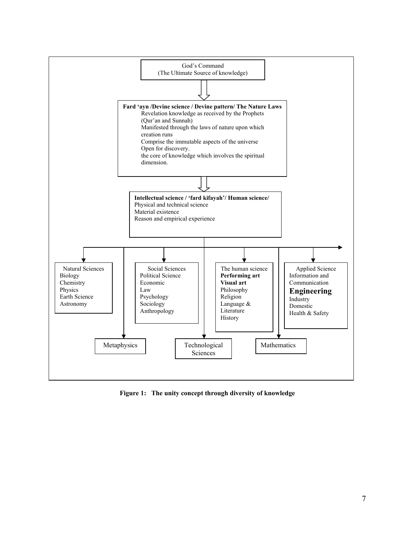

**Figure 1: The unity concept through diversity of knowledge**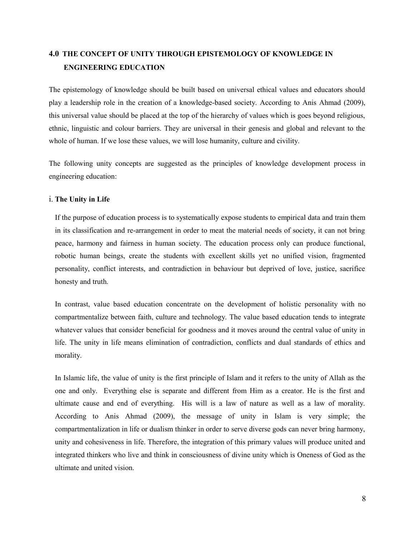# **4.0 THE CONCEPT OF UNITY THROUGH EPISTEMOLOGY OF KNOWLEDGE IN ENGINEERING EDUCATION**

The epistemology of knowledge should be built based on universal ethical values and educators should play a leadership role in the creation of a knowledge-based society. According to Anis Ahmad (2009), this universal value should be placed at the top of the hierarchy of values which is goes beyond religious, ethnic, linguistic and colour barriers. They are universal in their genesis and global and relevant to the whole of human. If we lose these values, we will lose humanity, culture and civility.

The following unity concepts are suggested as the principles of knowledge development process in engineering education:

### i. **The Unity in Life**

If the purpose of education process is to systematically expose students to empirical data and train them in its classification and re-arrangement in order to meat the material needs of society, it can not bring peace, harmony and fairness in human society. The education process only can produce functional, robotic human beings, create the students with excellent skills yet no unified vision, fragmented personality, conflict interests, and contradiction in behaviour but deprived of love, justice, sacrifice honesty and truth.

In contrast, value based education concentrate on the development of holistic personality with no compartmentalize between faith, culture and technology. The value based education tends to integrate whatever values that consider beneficial for goodness and it moves around the central value of unity in life. The unity in life means elimination of contradiction, conflicts and dual standards of ethics and morality.

In Islamic life, the value of unity is the first principle of Islam and it refers to the unity of Allah as the one and only. Everything else is separate and different from Him as a creator. He is the first and ultimate cause and end of everything. His will is a law of nature as well as a law of morality. According to Anis Ahmad (2009), the message of unity in Islam is very simple; the compartmentalization in life or dualism thinker in order to serve diverse gods can never bring harmony, unity and cohesiveness in life. Therefore, the integration of this primary values will produce united and integrated thinkers who live and think in consciousness of divine unity which is Oneness of God as the ultimate and united vision.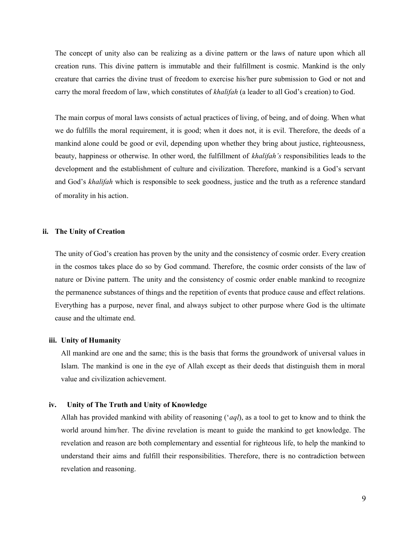The concept of unity also can be realizing as a divine pattern or the laws of nature upon which all creation runs. This divine pattern is immutable and their fulfillment is cosmic. Mankind is the only creature that carries the divine trust of freedom to exercise his/her pure submission to God or not and carry the moral freedom of law, which constitutes of *khalifah* (a leader to all God's creation) to God.

The main corpus of moral laws consists of actual practices of living, of being, and of doing. When what we do fulfills the moral requirement, it is good; when it does not, it is evil. Therefore, the deeds of a mankind alone could be good or evil, depending upon whether they bring about justice, righteousness, beauty, happiness or otherwise. In other word, the fulfillment of *khalifah's* responsibilities leads to the development and the establishment of culture and civilization. Therefore, mankind is a God's servant and God's *khalifah* which is responsible to seek goodness, justice and the truth as a reference standard of morality in his action.

### **ii. The Unity of Creation**

The unity of God's creation has proven by the unity and the consistency of cosmic order. Every creation in the cosmos takes place do so by God command. Therefore, the cosmic order consists of the law of nature or Divine pattern. The unity and the consistency of cosmic order enable mankind to recognize the permanence substances of things and the repetition of events that produce cause and effect relations. Everything has a purpose, never final, and always subject to other purpose where God is the ultimate cause and the ultimate end.

### **iii. Unity of Humanity**

All mankind are one and the same; this is the basis that forms the groundwork of universal values in Islam. The mankind is one in the eye of Allah except as their deeds that distinguish them in moral value and civilization achievement.

#### **iv. Unity of The Truth and Unity of Knowledge**

Allah has provided mankind with ability of reasoning ('*aql*), as a tool to get to know and to think the world around him/her. The divine revelation is meant to guide the mankind to get knowledge. The revelation and reason are both complementary and essential for righteous life, to help the mankind to understand their aims and fulfill their responsibilities. Therefore, there is no contradiction between revelation and reasoning.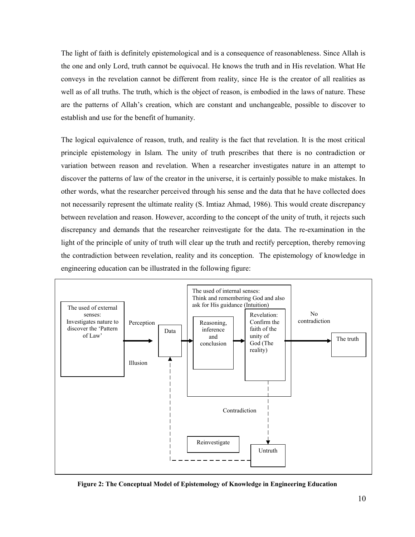The light of faith is definitely epistemological and is a consequence of reasonableness. Since Allah is the one and only Lord, truth cannot be equivocal. He knows the truth and in His revelation. What He conveys in the revelation cannot be different from reality, since He is the creator of all realities as well as of all truths. The truth, which is the object of reason, is embodied in the laws of nature. These are the patterns of Allah's creation, which are constant and unchangeable, possible to discover to establish and use for the benefit of humanity.

The logical equivalence of reason, truth, and reality is the fact that revelation. It is the most critical principle epistemology in Islam. The unity of truth prescribes that there is no contradiction or variation between reason and revelation. When a researcher investigates nature in an attempt to discover the patterns of law of the creator in the universe, it is certainly possible to make mistakes. In other words, what the researcher perceived through his sense and the data that he have collected does not necessarily represent the ultimate reality (S. Imtiaz Ahmad, 1986). This would create discrepancy between revelation and reason. However, according to the concept of the unity of truth, it rejects such discrepancy and demands that the researcher reinvestigate for the data. The re-examination in the light of the principle of unity of truth will clear up the truth and rectify perception, thereby removing the contradiction between revelation, reality and its conception. The epistemology of knowledge in engineering education can be illustrated in the following figure:



**Figure 2: The Conceptual Model of Epistemology of Knowledge in Engineering Education**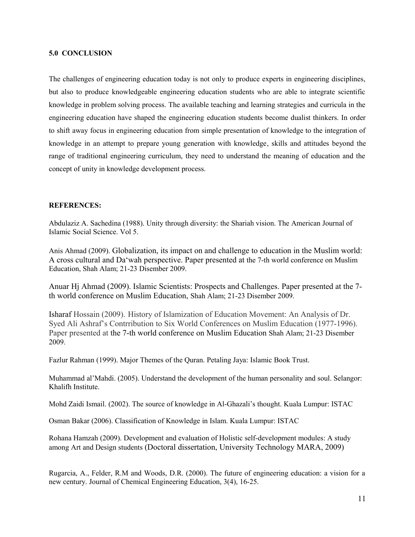### **5.0 CONCLUSION**

The challenges of engineering education today is not only to produce experts in engineering disciplines, but also to produce knowledgeable engineering education students who are able to integrate scientific knowledge in problem solving process. The available teaching and learning strategies and curricula in the engineering education have shaped the engineering education students become dualist thinkers. In order to shift away focus in engineering education from simple presentation of knowledge to the integration of knowledge in an attempt to prepare young generation with knowledge, skills and attitudes beyond the range of traditional engineering curriculum, they need to understand the meaning of education and the concept of unity in knowledge development process.

## **REFERENCES:**

Abdulaziz A. Sachedina (1988). Unity through diversity: the Shariah vision. The American Journal of Islamic Social Science. Vol 5.

Anis Ahmad (2009). Globalization, its impact on and challenge to education in the Muslim world: A cross cultural and Da'wah perspective. Paper presented at the 7-th world conference on Muslim Education, Shah Alam; 21-23 Disember 2009.

Anuar Hj Ahmad (2009). Islamic Scientists: Prospects and Challenges. Paper presented at the 7 th world conference on Muslim Education, Shah Alam; 21-23 Disember 2009.

Isharaf Hossain (2009). History of Islamization of Education Movement: An Analysis of Dr. Syed Ali Ashraf's Contrribution to Six World Conferences on Muslim Education (1977-1996). Paper presented at the 7-th world conference on Muslim Education Shah Alam; 21-23 Disember 2009.

Fazlur Rahman (1999). Major Themes of the Quran. Petaling Jaya: Islamic Book Trust.

Muhammad al'Mahdi. (2005). Understand the development of the human personality and soul. Selangor: Khalifh Institute.

Mohd Zaidi Ismail. (2002). The source of knowledge in Al-Ghazali's thought. Kuala Lumpur: ISTAC

Osman Bakar (2006). Classification of Knowledge in Islam. Kuala Lumpur: ISTAC

Rohana Hamzah (2009). Development and evaluation of Holistic self-development modules: A study among Art and Design students (Doctoral dissertation, University Technology MARA, 2009)

Rugarcia, A., Felder, R.M and Woods, D.R. (2000). The future of engineering education: a vision for a new century. Journal of Chemical Engineering Education, 3(4), 16-25.